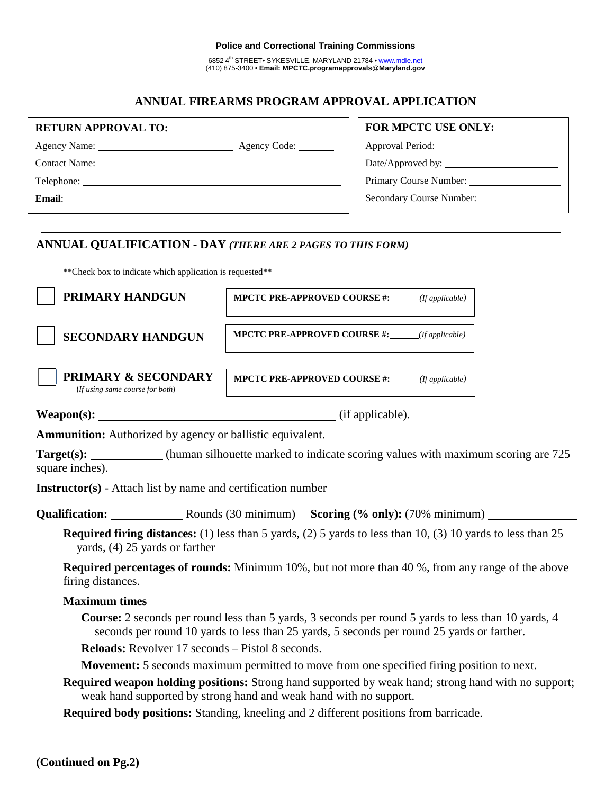#### **Police and Correctional Training Commissions**

6852 4<sup>th</sup> STREET• SYKESVILLE, MARYLAND 21784 • www.mdle.net (410) 875-3400 • **Email: MPCTC.programapprovals@Maryland.gov**

# **ANNUAL FIREARMS PROGRAM APPROVAL APPLICATION**

| <b>RETURN APPROVAL TO:</b> |                       | <b>FOR MPCTC USE ONLY:</b> |  |
|----------------------------|-----------------------|----------------------------|--|
|                            | Agency Code: ________ |                            |  |
| Contact Name: Name:        |                       |                            |  |
| Telephone:                 |                       | Primary Course Number:     |  |
| <b>Email:</b>              |                       | Secondary Course Number:   |  |
|                            |                       |                            |  |

## **ANNUAL QUALIFICATION - DAY** *(THERE ARE 2 PAGES TO THIS FORM)*

\*\*Check box to indicate which application is requested\*\*

| PRIMARY HANDGUN                                                                                                                                      | <b>MPCTC PRE-APPROVED COURSE #:</b> ( <i>If applicable</i> )                                       |  |  |  |
|------------------------------------------------------------------------------------------------------------------------------------------------------|----------------------------------------------------------------------------------------------------|--|--|--|
| <b>SECONDARY HANDGUN</b>                                                                                                                             | <b>MPCTC PRE-APPROVED COURSE #:</b> (If applicable)                                                |  |  |  |
| <b>PRIMARY &amp; SECONDARY</b><br>(If using same course for both)                                                                                    | <b>MPCTC PRE-APPROVED COURSE #:</b> (If applicable)                                                |  |  |  |
| $Weapon(s):$ (if applicable).                                                                                                                        |                                                                                                    |  |  |  |
| <b>Ammunition:</b> Authorized by agency or ballistic equivalent.                                                                                     |                                                                                                    |  |  |  |
| square inches).                                                                                                                                      | <b>Target(s):</b> (human silhouette marked to indicate scoring values with maximum scoring are 725 |  |  |  |
| <b>Instructor(s)</b> - Attach list by name and certification number                                                                                  |                                                                                                    |  |  |  |
|                                                                                                                                                      | <b>Qualification:</b> Rounds (30 minimum) <b>Scoring (% only):</b> (70% minimum)                   |  |  |  |
| <b>Required firing distances:</b> (1) less than 5 yards, (2) 5 yards to less than 10, (3) 10 yards to less than 25<br>yards, (4) 25 yards or farther |                                                                                                    |  |  |  |

**Required percentages of rounds:** Minimum 10%, but not more than 40 %, from any range of the above firing distances.

### **Maximum times**

**Course:** 2 seconds per round less than 5 yards, 3 seconds per round 5 yards to less than 10 yards, 4 seconds per round 10 yards to less than 25 yards, 5 seconds per round 25 yards or farther.

**Reloads:** Revolver 17 seconds – Pistol 8 seconds.

**Movement:** 5 seconds maximum permitted to move from one specified firing position to next.

**Required weapon holding positions:** Strong hand supported by weak hand; strong hand with no support; weak hand supported by strong hand and weak hand with no support.

**Required body positions:** Standing, kneeling and 2 different positions from barricade.